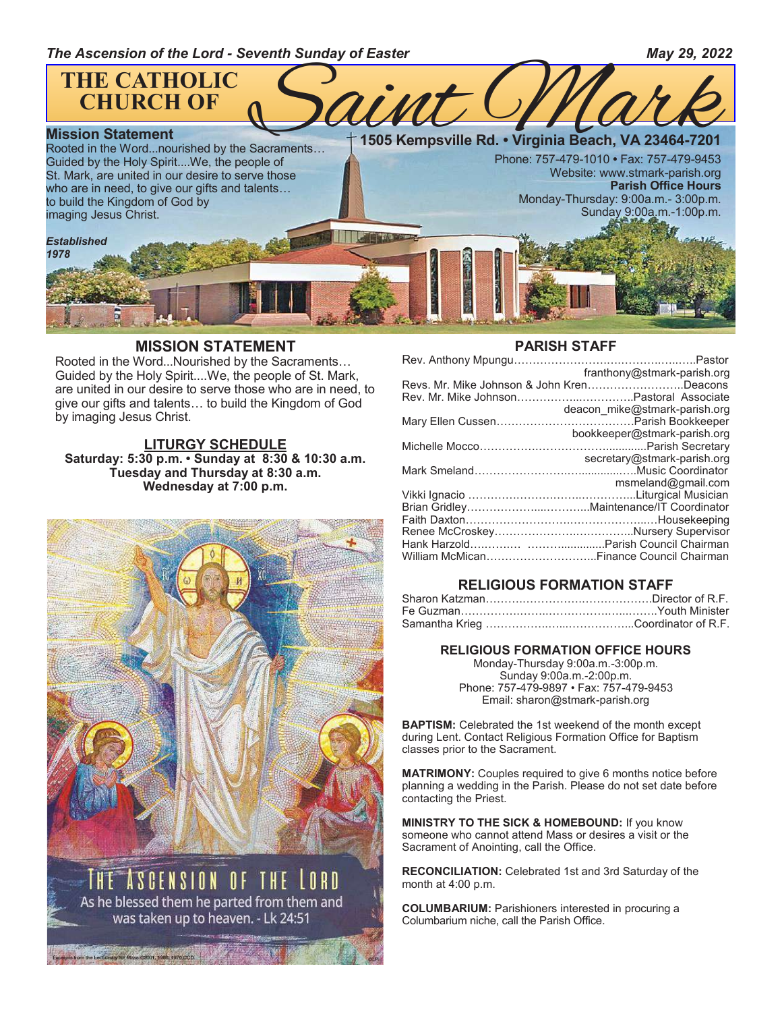

#### **MISSION STATEMENT**

Rooted in the Word...Nourished by the Sacraments… Guided by the Holy Spirit....We, the people of St. Mark, are united in our desire to serve those who are in need, to give our gifts and talents… to build the Kingdom of God by imaging Jesus Christ.

#### **LITURGY SCHEDULE Saturday: 5:30 p.m. • Sunday at 8:30 & 10:30 a.m. Tuesday and Thursday at 8:30 a.m. Wednesday at 7:00 p.m.**



was taken up to heaven. - Lk 24:51

Lectionary for Mass (2001, 1986, 1970 CCD.

#### **PARISH STAFF**

| franthony@stmark-parish.org               |
|-------------------------------------------|
| Revs. Mr. Mike Johnson & John KrenDeacons |
|                                           |
| deacon mike@stmark-parish.org             |
|                                           |
| bookkeeper@stmark-parish.org              |
|                                           |
| secretary@stmark-parish.org               |
|                                           |
| msmeland@gmail.com                        |
|                                           |
|                                           |
|                                           |
|                                           |
|                                           |
| William McMicanFinance Council Chairman   |
|                                           |

#### **RELIGIOUS FORMATION STAFF**

| Sharon Katzman………………………………………Director of R.F. |  |
|-----------------------------------------------|--|
|                                               |  |
|                                               |  |

#### **RELIGIOUS FORMATION OFFICE HOURS**

Monday-Thursday 9:00a.m.-3:00p.m. Sunday 9:00a.m.-2:00p.m. Phone: 757-479-9897 • Fax: 757-479-9453 Email: sharon@stmark-parish.org

**BAPTISM:** Celebrated the 1st weekend of the month except during Lent. Contact Religious Formation Office for Baptism classes prior to the Sacrament.

**MATRIMONY:** Couples required to give 6 months notice before planning a wedding in the Parish. Please do not set date before contacting the Priest.

**MINISTRY TO THE SICK & HOMEBOUND:** If you know someone who cannot attend Mass or desires a visit or the Sacrament of Anointing, call the Office.

**RECONCILIATION:** Celebrated 1st and 3rd Saturday of the month at 4:00 p.m.

**COLUMBARIUM:** Parishioners interested in procuring a Columbarium niche, call the Parish Office.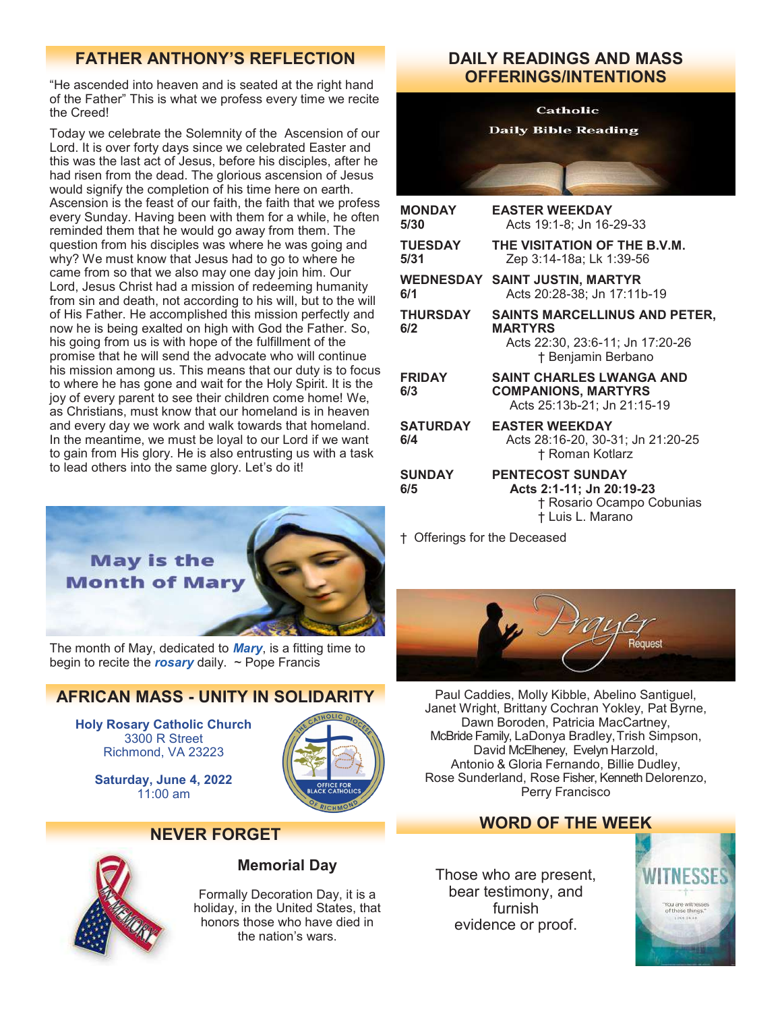## **FATHER ANTHONY'S REFLECTION DAILY READINGS AND MASS**

"He ascended into heaven and is seated at the right hand of the Father" This is what we profess every time we recite the Creed!

Today we celebrate the Solemnity of the Ascension of our Lord. It is over forty days since we celebrated Easter and this was the last act of Jesus, before his disciples, after he had risen from the dead. The glorious ascension of Jesus would signify the completion of his time here on earth. Ascension is the feast of our faith, the faith that we profess every Sunday. Having been with them for a while, he often reminded them that he would go away from them. The question from his disciples was where he was going and why? We must know that Jesus had to go to where he came from so that we also may one day join him. Our Lord, Jesus Christ had a mission of redeeming humanity from sin and death, not according to his will, but to the will of His Father. He accomplished this mission perfectly and now he is being exalted on high with God the Father. So, his going from us is with hope of the fulfillment of the promise that he will send the advocate who will continue his mission among us. This means that our duty is to focus to where he has gone and wait for the Holy Spirit. It is the joy of every parent to see their children come home! We, as Christians, must know that our homeland is in heaven and every day we work and walk towards that homeland. In the meantime, we must be loyal to our Lord if we want to gain from His glory. He is also entrusting us with a task to lead others into the same glory. Let's do it!



The month of May, dedicated to *Mary*, is a fitting time to begin to recite the *rosary* daily. ~ Pope Francis

## **AFRICAN MASS - UNITY IN SOLIDARITY**

**Holy Rosary Catholic Church** 3300 R Street Richmond, VA 23223

> **Saturday, June 4, 2022**  $11:00$  am



## **NEVER FORGET**



## **Memorial Day**

Formally Decoration Day, it is a holiday, in the United States, that honors those who have died in the nation's wars.

# **OFFERINGS/INTENTIONS**

#### **Catholic**

**Daily Bible Reading** 

| <b>MONDAY</b><br>5/30  | <b>EASTER WEEKDAY</b><br>Acts 19:1-8; Jn 16-29-33                                                                |
|------------------------|------------------------------------------------------------------------------------------------------------------|
| <b>TUESDAY</b><br>5/31 | THE VISITATION OF THE B.V.M.<br>Zep 3:14-18a; Lk 1:39-56                                                         |
| 6/1                    | <b>WEDNESDAY SAINT JUSTIN, MARTYR</b><br>Acts 20:28-38; Jn 17:11b-19                                             |
| <b>THURSDAY</b><br>6/2 | <b>SAINTS MARCELLINUS AND PETER,</b><br><b>MARTYRS</b><br>Acts 22:30, 23:6-11; Jn 17:20-26<br>† Benjamin Berbano |
| <b>FRIDAY</b><br>6/3   | <b>SAINT CHARLES LWANGA AND</b><br><b>COMPANIONS, MARTYRS</b><br>Acts 25:13b-21; Jn 21:15-19                     |
| <b>SATURDAY</b><br>6/4 | <b>EASTER WEEKDAY</b><br>Acts 28:16-20, 30-31; Jn 21:20-25<br>† Roman Kotlarz                                    |
| <b>SUNDAY</b><br>6/5   | <b>PENTECOST SUNDAY</b><br>Acts 2:1-11; Jn 20:19-23<br>† Rosario Ocampo Cobunias<br>† Luis L. Marano             |

† Offerings for the Deceased



Paul Caddies, Molly Kibble, Abelino Santiguel, Janet Wright, Brittany Cochran Yokley, Pat Byrne, Dawn Boroden, Patricia MacCartney, McBride Family, LaDonya Bradley, Trish Simpson, David McElheney, Evelyn Harzold, Antonio & Gloria Fernando, Billie Dudley, Rose Sunderland, Rose Fisher, Kenneth Delorenzo, Perry Francisco

## **WORD OF THE WEEK**

Those who are present, bear testimony, and furnish evidence or proof.

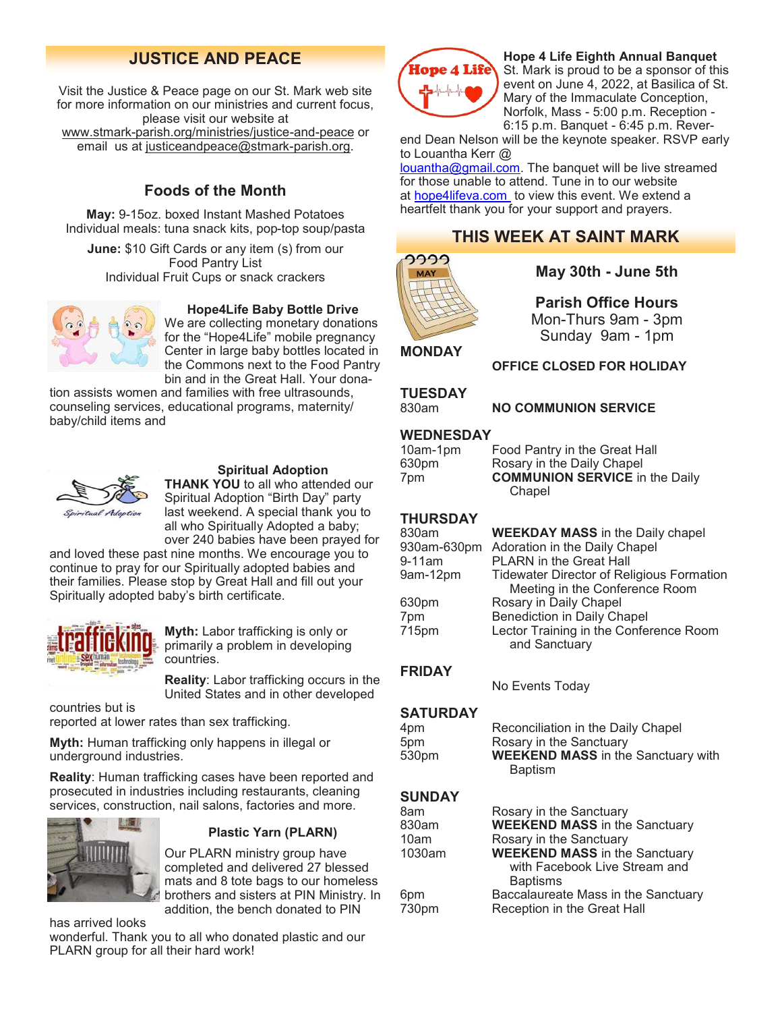Visit the Justice & Peace page on our St. Mark web site for more information on our ministries and current focus, please visit our website at www.stmark-[parish.org/ministries/justice](file:///C:/Users/Nanna/Desktop/www.stmark-parish.org/ministries/justice-and-peace)-and-peace or email us at [justiceandpeace@stmark](mailto:justiceandpeace@stmark-parish.org)-parish.org.

## **Foods of the Month**

**May:** 9-15oz. boxed Instant Mashed Potatoes Individual meals: tuna snack kits, pop-top soup/pasta

**June:** \$10 Gift Cards or any item (s) from our Food Pantry List Individual Fruit Cups or snack crackers **May 30th - June 5th** 



#### **Hope4Life Baby Bottle Drive**

We are collecting monetary donations for the "Hope4Life" mobile pregnancy Center in large baby bottles located in the Commons next to the Food Pantry bin and in the Great Hall. Your dona-

tion assists women and families with free ultrasounds, counseling services, educational programs, maternity/ baby/child items and



#### **Spiritual Adoption**

**THANK YOU** to all who attended our Spiritual Adoption "Birth Day" party last weekend. A special thank you to all who Spiritually Adopted a baby; over 240 babies have been prayed for

and loved these past nine months. We encourage you to continue to pray for our Spiritually adopted babies and their families. Please stop by Great Hall and fill out your Spiritually adopted baby's birth certificate.



**Myth:** Labor trafficking is only or primarily a problem in developing countries.

**Reality**: Labor trafficking occurs in the United States and in other developed

countries but is reported at lower rates than sex trafficking.

**Myth:** Human trafficking only happens in illegal or underground industries.

**Reality**: Human trafficking cases have been reported and prosecuted in industries including restaurants, cleaning services, construction, nail salons, factories and more.



#### **Plastic Yarn (PLARN)**

Our PLARN ministry group have completed and delivered 27 blessed mats and 8 tote bags to our homeless brothers and sisters at PIN Ministry. In addition, the bench donated to PIN

has arrived looks

wonderful. Thank you to all who donated plastic and our PLARN group for all their hard work!



#### **JUSTICE AND PEACE Hope 4 Life Eighth Annual Banquet**<br>**Hope 4 Life** St Mark is proud to be a sponsor of the St. Mark is proud to be a sponsor of this event on June 4, 2022, at Basilica of St. Mary of the Immaculate Conception, Norfolk, Mass - 5:00 p.m. Reception - 6:15 p.m. Banquet - 6:45 p.m. Rever-

end Dean Nelson will be the keynote speaker. RSVP early to Louantha Kerr @

[louantha@gmail.com.](mailto:louantha@gmail.com) The banquet will be live streamed for those unable to attend. Tune in to our website at [hope4lifeva.com t](http://hope4lifeva.com/)o view this event. We extend a heartfelt thank you for your support and prayers.

## **THIS WEEK AT SAINT MARK**



**Parish Office Hours** Mon-Thurs 9am - 3pm

Sunday 9am - 1pm

**OFFICE CLOSED FOR HOLIDAY**

**MONDAY**

**TUESDAY**

830am **NO COMMUNION SERVICE**

#### **WEDNESDAY**

| 10am-1pm | Food Pantry in the Great Hall         |
|----------|---------------------------------------|
| 630pm    | Rosary in the Daily Chapel            |
| 7pm      | <b>COMMUNION SERVICE</b> in the Daily |
|          | Chapel                                |

#### **THURSDAY**

| 830am       | <b>WEEKDAY MASS</b> in the Daily chapel          |
|-------------|--------------------------------------------------|
| 930am-630pm | Adoration in the Daily Chapel                    |
| 9-11am      | PLARN in the Great Hall                          |
| 9am-12pm    | <b>Tidewater Director of Religious Formation</b> |
|             | Meeting in the Conference Room                   |
| 630pm       | Rosary in Daily Chapel                           |
| 7pm         | <b>Benediction in Daily Chapel</b>               |
| 715pm       | Lector Training in the Conference Room           |
|             | and Sanctuary                                    |
|             |                                                  |

#### **FRIDAY**

No Events Today

#### **SATURDAY**

| 4pm   | Reconciliation in the Daily Chapel        |
|-------|-------------------------------------------|
| 5pm   | Rosary in the Sanctuary                   |
| 530pm | <b>WEEKEND MASS</b> in the Sanctuary with |
|       | Baptism                                   |

#### **SUNDAY**

| 8am               | Rosary in the Sanctuary              |
|-------------------|--------------------------------------|
| 830am             | <b>WEEKEND MASS</b> in the Sanctuary |
| 10am              | Rosary in the Sanctuary              |
| 1030am            | <b>WEEKEND MASS</b> in the Sanctuary |
|                   | with Facebook Live Stream and        |
|                   | <b>Baptisms</b>                      |
| 6pm               | Baccalaureate Mass in the Sanctuary  |
| 730 <sub>pm</sub> | Reception in the Great Hall          |
|                   |                                      |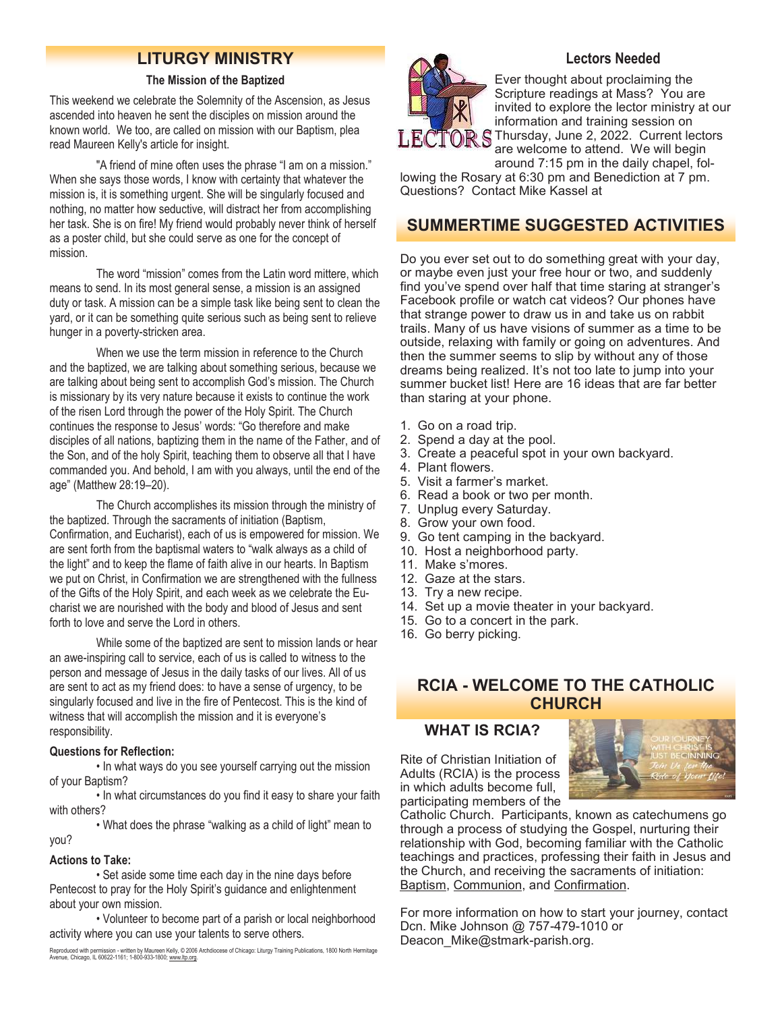## **LITURGY MINISTRY**

#### **The Mission of the Baptized**

This weekend we celebrate the Solemnity of the Ascension, as Jesus ascended into heaven he sent the disciples on mission around the known world. We too, are called on mission with our Baptism, plea read Maureen Kelly's article for insight.

 "A friend of mine often uses the phrase "I am on a mission." When she says those words, I know with certainty that whatever the mission is, it is something urgent. She will be singularly focused and nothing, no matter how seductive, will distract her from accomplishing her task. She is on fire! My friend would probably never think of herself as a poster child, but she could serve as one for the concept of mission.

 The word "mission" comes from the Latin word mittere, which means to send. In its most general sense, a mission is an assigned duty or task. A mission can be a simple task like being sent to clean the yard, or it can be something quite serious such as being sent to relieve hunger in a poverty-stricken area.

 When we use the term mission in reference to the Church and the baptized, we are talking about something serious, because we are talking about being sent to accomplish God's mission. The Church is missionary by its very nature because it exists to continue the work of the risen Lord through the power of the Holy Spirit. The Church continues the response to Jesus' words: "Go therefore and make disciples of all nations, baptizing them in the name of the Father, and of the Son, and of the holy Spirit, teaching them to observe all that I have commanded you. And behold, I am with you always, until the end of the age" (Matthew 28:19–20).

 The Church accomplishes its mission through the ministry of the baptized. Through the sacraments of initiation (Baptism, Confirmation, and Eucharist), each of us is empowered for mission. We are sent forth from the baptismal waters to "walk always as a child of the light" and to keep the flame of faith alive in our hearts. In Baptism we put on Christ, in Confirmation we are strengthened with the fullness of the Gifts of the Holy Spirit, and each week as we celebrate the Eucharist we are nourished with the body and blood of Jesus and sent forth to love and serve the Lord in others.

 While some of the baptized are sent to mission lands or hear an awe-inspiring call to service, each of us is called to witness to the person and message of Jesus in the daily tasks of our lives. All of us are sent to act as my friend does: to have a sense of urgency, to be singularly focused and live in the fire of Pentecost. This is the kind of witness that will accomplish the mission and it is everyone's responsibility.

#### **Questions for Reflection:**

 • In what ways do you see yourself carrying out the mission of your Baptism?

 • In what circumstances do you find it easy to share your faith with others?

 • What does the phrase "walking as a child of light" mean to you?

#### **Actions to Take:**

 • Set aside some time each day in the nine days before Pentecost to pray for the Holy Spirit's guidance and enlightenment about your own mission.

 • Volunteer to become part of a parish or local neighborhood activity where you can use your talents to serve others.

Reproduced with permission - written by Maureen Kelly, © 2006 Archdiocese of Chicago: Liturgy Training Publications, 1800 North Hermitage<br>Avenue, Chicago, IL 60622-1161; 1-800-933-1800; <u>www.ltp.org</u>.



#### **Lectors Needed**

Ever thought about proclaiming the Scripture readings at Mass? You are invited to explore the lector ministry at our information and training session on LECTOR S Thursday, June 2, 2022. Current lectors

are welcome to attend. We will begin around 7:15 pm in the daily chapel, fol-

lowing the Rosary at 6:30 pm and Benediction at 7 pm. Questions? Contact Mike Kassel at

## **SUMMERTIME SUGGESTED ACTIVITIES**

Do you ever set out to do something great with your day, or maybe even just your free hour or two, and suddenly find you've spend over half that time staring at stranger's Facebook profile or watch cat videos? Our phones have that strange power to draw us in and take us on rabbit trails. Many of us have visions of summer as a time to be outside, relaxing with family or going on adventures. And then the summer seems to slip by without any of those dreams being realized. It's not too late to jump into your summer bucket list! Here are 16 ideas that are far better than staring at your phone.

- 1. Go on a road trip.
- 2. Spend a day at the pool.
- 3. Create a peaceful spot in your own backyard.
- 4. Plant flowers.
- 5. Visit a farmer's market.
- 6. Read a book or two per month.
- 7. Unplug every Saturday.
- 8. Grow your own food.
- 9. Go tent camping in the backyard.
- 10. Host a neighborhood party.
- 11. Make s'mores.
- 12. Gaze at the stars.
- 13. Try a new recipe.
- 14. Set up a movie theater in your backyard.
- 15. Go to a concert in the park.
- 16. Go berry picking.

## **RCIA - WELCOME TO THE CATHOLIC CHURCH**

#### **WHAT IS RCIA?**

Rite of Christian Initiation of Adults (RCIA) is the process in which adults become full, participating members of the



Catholic Church. Participants, known as catechumens go through a process of studying the Gospel, nurturing their relationship with God, becoming familiar with the Catholic teachings and practices, professing their faith in Jesus and the Church, and receiving the sacraments of initiation: [Baptism,](https://www.catholicfaithstore.com/daily-bread/early-teachings-infant-baptism/) [Communion,](https://www.catholicfaithstore.com/daily-bread/eight-gift-ideas-for-first-communion/) and [Confirmation.](https://www.catholicfaithstore.com/daily-bread/7-best-gifts-one-receives-confirmation/)

For more information on how to start your journey, contact Dcn. Mike Johnson @ 757-479-1010 or Deacon\_Mike@stmark-parish.org.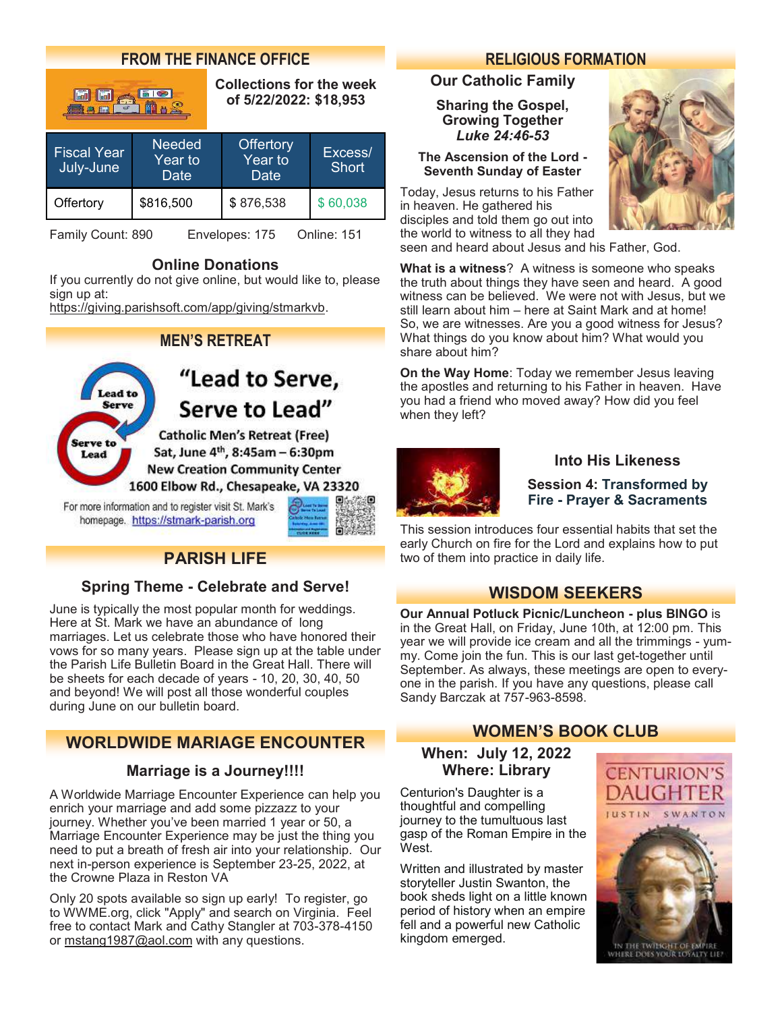## **FROM THE FINANCE OFFICE**

| $\mathbf{c}^*$<br>無義典理                             |                                  | <b>Collections for the week</b><br>of 5/22/2022: \$18,953 |                         |
|----------------------------------------------------|----------------------------------|-----------------------------------------------------------|-------------------------|
| <b>Fiscal Year</b><br>July-June                    | <b>Needed</b><br>Year to<br>Date | Offertory<br>Year to<br>Date                              | Excess/<br><b>Short</b> |
| Offertory                                          | \$816,500                        | \$876,538                                                 | \$60,038                |
| Envelopes: 175<br>Online: 151<br>Family Count: 890 |                                  |                                                           |                         |

## **Online Donations**

If you currently do not give online, but would like to, please sign up at:

[https://giving.parishsoft.com/app/giving/stmarkvb.](https://giving.parishsoft.com/app/giving/stmarkvb)

## **MEN'S RETREAT**

"Lead to Serve, Lead to **Serve** Serve to Lead" **Catholic Men's Retreat (Free)** Serve to Sat, June 4<sup>th</sup>, 8:45am - 6:30pm Lead **New Creation Community Center** 1600 Elbow Rd., Chesapeake, VA 23320

For more information and to register visit St. Mark's homepage. https://stmark-parish.org



## **PARISH LIFE**

## **Spring Theme - Celebrate and Serve!**

June is typically the most popular month for weddings. Here at St. Mark we have an abundance of long marriages. Let us celebrate those who have honored their vows for so many years. Please sign up at the table under the Parish Life Bulletin Board in the Great Hall. There will be sheets for each decade of years - 10, 20, 30, 40, 50 and beyond! We will post all those wonderful couples during June on our bulletin board.

## **WORLDWIDE MARIAGE ENCOUNTER**

## **Marriage is a Journey!!!!**

A Worldwide Marriage Encounter Experience can help you enrich your marriage and add some pizzazz to your journey. Whether you've been married 1 year or 50, a Marriage Encounter Experience may be just the thing you need to put a breath of fresh air into your relationship. Our next in-person experience is September 23-25, 2022, at the Crowne Plaza in Reston VA

Only 20 spots available so sign up early! To register, go to WWME.org, click "Apply" and search on Virginia. Feel free to contact Mark and Cathy Stangler at 703-378-4150 or [mstang1987@aol.com](mailto:mstang1987@aol.com) with any questions.

## **RELIGIOUS FORMATION**

### **Our Catholic Family**

**Sharing the Gospel, Growing Together** *Luke 24:46-53*

#### **The Ascension of the Lord - Seventh Sunday of Easter**

Today, Jesus returns to his Father in heaven. He gathered his disciples and told them go out into the world to witness to all they had



seen and heard about Jesus and his Father, God.

**What is a witness**? A witness is someone who speaks the truth about things they have seen and heard. A good witness can be believed. We were not with Jesus, but we still learn about him – here at Saint Mark and at home! So, we are witnesses. Are you a good witness for Jesus? What things do you know about him? What would you share about him?

**On the Way Home**: Today we remember Jesus leaving the apostles and returning to his Father in heaven. Have you had a friend who moved away? How did you feel when they left?



#### **Into His Likeness**

#### **Session 4: Transformed by Fire - Prayer & Sacraments**

This session introduces four essential habits that set the early Church on fire for the Lord and explains how to put two of them into practice in daily life.

## **WISDOM SEEKERS**

**Our Annual Potluck Picnic/Luncheon - plus BINGO** is in the Great Hall, on Friday, June 10th, at 12:00 pm. This year we will provide ice cream and all the trimmings - yummy. Come join the fun. This is our last get-together until September. As always, these meetings are open to everyone in the parish. If you have any questions, please call Sandy Barczak at 757-963-8598.

## **WOMEN'S BOOK CLUB**

### **When: July 12, 2022 Where: Library**

Centurion's Daughter is a thoughtful and compelling journey to the tumultuous last gasp of the Roman Empire in the West.

Written and illustrated by master storyteller Justin Swanton, the book sheds light on a little known period of history when an empire fell and a powerful new Catholic kingdom emerged.



IN THE TWINGHT OF EMPIRE<br>WHERE DOES YOUR LOYALTY LIE?